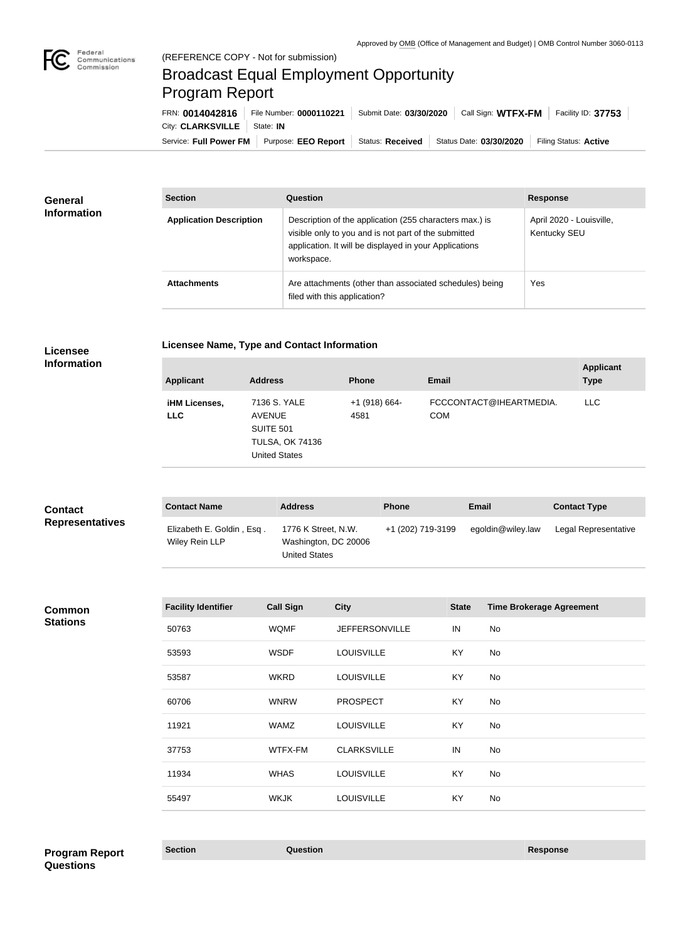

п

# Broadcast Equal Employment Opportunity Program Report

Service: Full Power FM Purpose: EEO Report | Status: Received | Status Date: 03/30/2020 | Filing Status: Active City: **CLARKSVILLE** State: **IN** FRN: **0014042816** File Number: **0000110221** Submit Date: **03/30/2020** Call Sign: **WTFX-FM** Facility ID: **37753**

| <b>General</b><br><b>Information</b> | <b>Section</b>                 | Question                                                                                                                                                                                | <b>Response</b>                          |
|--------------------------------------|--------------------------------|-----------------------------------------------------------------------------------------------------------------------------------------------------------------------------------------|------------------------------------------|
|                                      | <b>Application Description</b> | Description of the application (255 characters max.) is<br>visible only to you and is not part of the submitted<br>application. It will be displayed in your Applications<br>workspace. | April 2020 - Louisville,<br>Kentucky SEU |
|                                      | <b>Attachments</b>             | Are attachments (other than associated schedules) being<br>filed with this application?                                                                                                 | Yes                                      |

## **Licensee Information**

**Licensee Name, Type and Contact Information**

| <b>Applicant</b>                   | <b>Address</b>                                                                                      | <b>Phone</b>            | <b>Email</b>                          | <b>Applicant</b><br><b>Type</b> |
|------------------------------------|-----------------------------------------------------------------------------------------------------|-------------------------|---------------------------------------|---------------------------------|
| <b>iHM Licenses,</b><br><b>LLC</b> | 7136 S. YALE<br><b>AVENUE</b><br><b>SUITE 501</b><br><b>TULSA, OK 74136</b><br><b>United States</b> | $+1$ (918) 664-<br>4581 | FCCCONTACT@IHEARTMEDIA.<br><b>COM</b> | LLC.                            |

| <b>Contact</b><br><b>Representatives</b> | <b>Contact Name</b>                         | <b>Address</b>                                                      | <b>Phone</b>      | Email             | <b>Contact Type</b>  |
|------------------------------------------|---------------------------------------------|---------------------------------------------------------------------|-------------------|-------------------|----------------------|
|                                          | Elizabeth E. Goldin, Esq.<br>Wiley Rein LLP | 1776 K Street, N.W.<br>Washington, DC 20006<br><b>United States</b> | +1 (202) 719-3199 | egoldin@wiley.law | Legal Representative |

### **Common Stations**

| <b>Facility Identifier</b> | <b>Call Sign</b> | <b>City</b>           | <b>State</b> | <b>Time Brokerage Agreement</b> |
|----------------------------|------------------|-----------------------|--------------|---------------------------------|
| 50763                      | <b>WQMF</b>      | <b>JEFFERSONVILLE</b> | IN           | No                              |
| 53593                      | <b>WSDF</b>      | <b>LOUISVILLE</b>     | KY           | <b>No</b>                       |
| 53587                      | <b>WKRD</b>      | <b>LOUISVILLE</b>     | KY           | No                              |
| 60706                      | <b>WNRW</b>      | <b>PROSPECT</b>       | KY           | No                              |
| 11921                      | <b>WAMZ</b>      | <b>LOUISVILLE</b>     | KY           | No                              |
| 37753                      | WTFX-FM          | <b>CLARKSVILLE</b>    | IN           | <b>No</b>                       |
| 11934                      | <b>WHAS</b>      | <b>LOUISVILLE</b>     | KY           | No                              |
| 55497                      | <b>WKJK</b>      | <b>LOUISVILLE</b>     | KY           | No                              |
|                            |                  |                       |              |                                 |